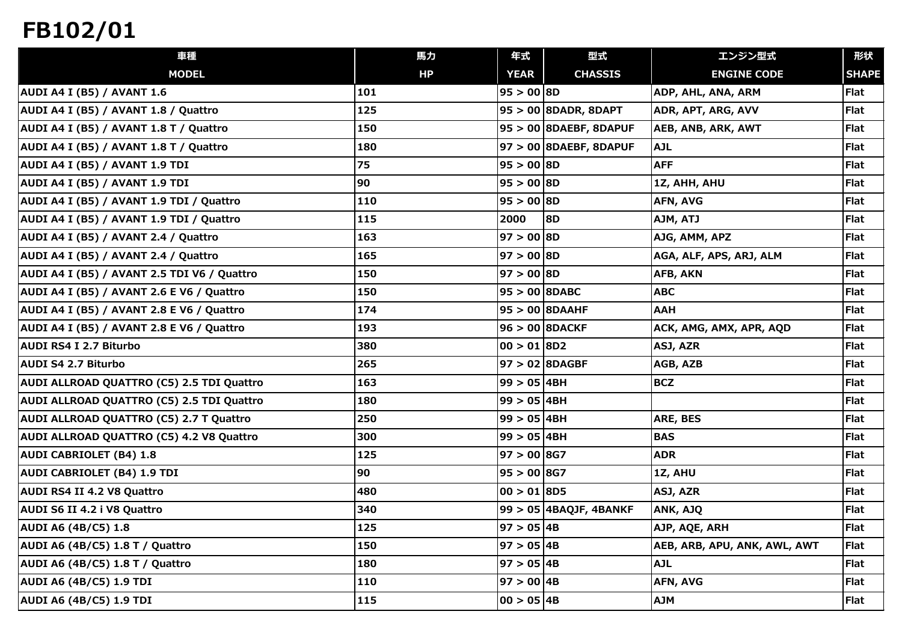| 車種                                          | 馬力  | 年式                    | 型式                       | エンジン型式                       | 形状           |
|---------------------------------------------|-----|-----------------------|--------------------------|------------------------------|--------------|
| <b>MODEL</b>                                | HP  | <b>YEAR</b>           | <b>CHASSIS</b>           | <b>ENGINE CODE</b>           | <b>SHAPE</b> |
| <b>AUDI A4 I (B5) / AVANT 1.6</b>           | 101 | 95 > 00   8D          |                          | ADP, AHL, ANA, ARM           | Flat         |
| AUDI A4 I (B5) / AVANT 1.8 / Quattro        | 125 |                       | $95 > 00$ 8DADR, 8DAPT   | ADR, APT, ARG, AVV           | Flat         |
| AUDI A4 I (B5) / AVANT 1.8 T / Quattro      | 150 |                       | $95 > 00$ 8DAEBF, 8DAPUF | <b>AEB, ANB, ARK, AWT</b>    | Flat         |
| AUDI A4 I (B5) / AVANT 1.8 T / Quattro      | 180 |                       | $97 > 00$ 8DAEBF, 8DAPUF | <b>AJL</b>                   | Flat         |
| <b>AUDI A4 I (B5) / AVANT 1.9 TDI</b>       | 75  | 95 > 00 8D            |                          | <b>AFF</b>                   | Flat         |
| <b>AUDI A4 I (B5) / AVANT 1.9 TDI</b>       | 90  | $95 > 00$ 8D          |                          | 1Z, AHH, AHU                 | Flat         |
| AUDI A4 I (B5) / AVANT 1.9 TDI / Quattro    | 110 | 95 > 00   8D          |                          | AFN, AVG                     | Flat         |
| AUDI A4 I (B5) / AVANT 1.9 TDI / Quattro    | 115 | 2000                  | <b>8D</b>                | AJM, ATJ                     | Flat         |
| AUDI A4 I (B5) / AVANT 2.4 / Quattro        | 163 | $97 > 00$ 8D          |                          | AJG, AMM, APZ                | Flat         |
| AUDI A4 I (B5) / AVANT 2.4 / Quattro        | 165 | 97 > 00   8D          |                          | AGA, ALF, APS, ARJ, ALM      | Flat         |
| AUDI A4 I (B5) / AVANT 2.5 TDI V6 / Quattro | 150 | $97 > 00$ 8D          |                          | AFB, AKN                     | Flat         |
| AUDI A4 I (B5) / AVANT 2.6 E V6 / Quattro   | 150 | $95 > 00$ 8DABC       |                          | <b>ABC</b>                   | Flat         |
| AUDI A4 I (B5) / AVANT 2.8 E V6 / Quattro   | 174 |                       | $95 > 00$ 8DAAHF         | <b>AAH</b>                   | Flat         |
| AUDI A4 I (B5) / AVANT 2.8 E V6 / Quattro   | 193 |                       | $96 > 00$ <b>8DACKF</b>  | ACK, AMG, AMX, APR, AQD      | Flat         |
| AUDI RS4 I 2.7 Biturbo                      | 380 | $ 00 \rangle 01  8D2$ |                          | ASJ, AZR                     | Flat         |
| AUDI S4 2.7 Biturbo                         | 265 |                       | $97 > 02$ 8DAGBF         | AGB, AZB                     | Flat         |
| AUDI ALLROAD QUATTRO (C5) 2.5 TDI Quattro   | 163 | $99 > 05$ 4BH         |                          | <b>BCZ</b>                   | Flat         |
| AUDI ALLROAD QUATTRO (C5) 2.5 TDI Quattro   | 180 | $99 > 05$ 4BH         |                          |                              | Flat         |
| AUDI ALLROAD QUATTRO (C5) 2.7 T Quattro     | 250 | $99 > 05$ 4BH         |                          | ARE, BES                     | Flat         |
| AUDI ALLROAD QUATTRO (C5) 4.2 V8 Quattro    | 300 | $99 > 05$ 4BH         |                          | <b>BAS</b>                   | Flat         |
| <b>AUDI CABRIOLET (B4) 1.8</b>              | 125 | 97 > 00 8G7           |                          | <b>ADR</b>                   | Flat         |
| <b>AUDI CABRIOLET (B4) 1.9 TDI</b>          | 90  | $95 > 00$ 8G7         |                          | 1Z, AHU                      | Flat         |
| AUDI RS4 II 4.2 V8 Quattro                  | 480 | $ 00 \rangle 01  8D5$ |                          | ASJ, AZR                     | Flat         |
| AUDI S6 II 4.2 i V8 Quattro                 | 340 |                       | 99 > 05 4BAQJF, 4BANKF   | ANK, AJQ                     | Flat         |
| AUDI A6 (4B/C5) 1.8                         | 125 | 97 > 05   4B          |                          | AJP, AQE, ARH                | Flat         |
| AUDI A6 (4B/C5) 1.8 T / Quattro             | 150 | 97>05 4B              |                          | AEB, ARB, APU, ANK, AWL, AWT | Flat         |
| AUDI A6 (4B/C5) 1.8 T / Quattro             | 180 | 97 > 05   4B          |                          | <b>AJL</b>                   | Flat         |
| <b>AUDI A6 (4B/C5) 1.9 TDI</b>              | 110 | $97 > 00$ 4B          |                          | AFN, AVG                     | Flat         |
| <b>AUDI A6 (4B/C5) 1.9 TDI</b>              | 115 | 00 > 05 4B            |                          | <b>AJM</b>                   | Flat         |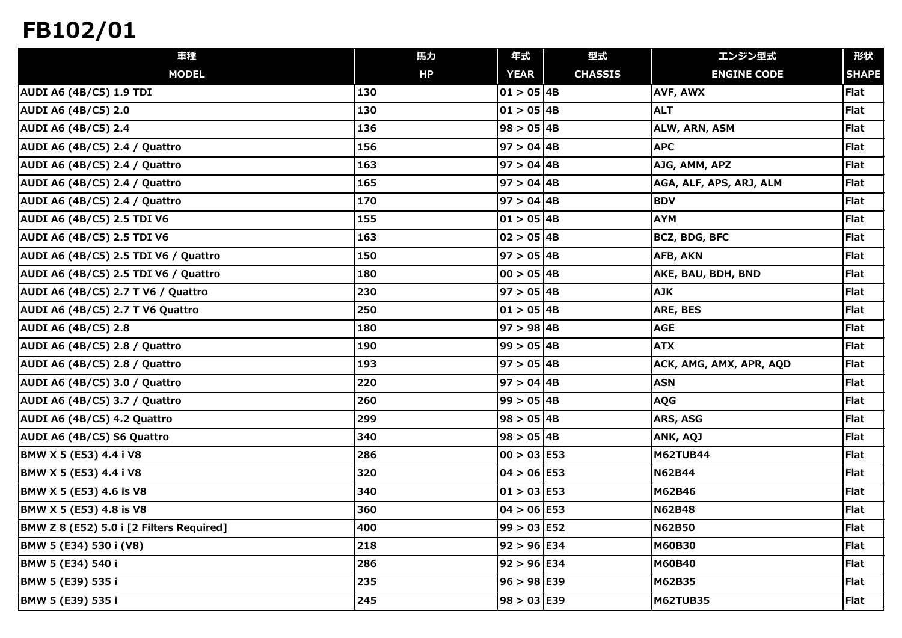| <b>CHASSIS</b><br><b>MODEL</b><br>HP<br><b>YEAR</b><br><b>ENGINE CODE</b><br><b>SHAPE</b><br>$01 > 05$ 4B<br>130<br>AVF, AWX<br>Flat<br>130<br>$01 > 05$ 4B<br>Flat<br><b>ALT</b><br>$98 > 05$ 4B<br>Flat<br>136<br>ALW, ARN, ASM<br>$97 > 04$ 4B<br>Flat<br>156<br><b>APC</b><br>163<br>$97 > 04$ 4B<br>Flat<br>AJG, AMM, APZ<br> 97 > 04 4B<br>Flat<br>165<br>AGA, ALF, APS, ARJ, ALM<br>170<br><b>BDV</b><br>Flat<br>$97 > 04$ 4B<br>Flat<br>155<br>$01 > 05$ 4B<br><b>AYM</b><br>163<br>$02 > 05$ 4B<br>BCZ, BDG, BFC<br>Flat<br>$97 > 05$ 4B<br>Flat<br>150<br><b>AFB, AKN</b><br>$00 > 05$ 4B<br>Flat<br>180<br>AKE, BAU, BDH, BND<br>$97 > 05$ 4B<br>Flat<br>230<br><b>AJK</b><br>250<br>$01 > 05$ 4B<br>Flat<br>ARE, BES<br><b>AGE</b><br>97 > 98   4B<br>Flat<br>180<br>$99 > 05$ 4B<br><b>ATX</b><br>Flat<br>190<br>$97 > 05$ 4B<br>193<br><b>Flat</b><br>ACK, AMG, AMX, APR, AQD<br>220<br>$97 > 04$ 4B<br><b>ASN</b><br>Flat<br>99 > 05   4B<br>Flat<br>260<br><b>AQG</b><br>Flat<br>299<br>98 > 05   4B<br>ARS, ASG<br>Flat<br>340<br>$98 > 05$ 4B<br>ANK, AQJ<br>$00 > 03$ E53<br>286<br><b>M62TUB44</b><br>Flat<br>320<br>$04 > 06$ E53<br><b>N62B44</b><br>Flat<br>$01 > 03$ E53<br>Flat<br>340<br>M62B46<br>360<br>$04 > 06$ E53<br>Flat<br><b>N62B48</b><br>$99 > 03$ E52<br>400<br><b>N62B50</b><br><b>Flat</b><br>218<br>$92 > 96$ E34<br>Flat<br><b>M60B30</b><br>286<br>$92 > 96$ E34<br>Flat<br>M60B40<br>235<br>$96 > 98$ E39<br>M62B35<br><b>Flat</b><br> 98 > 03 E39 | 車種                                       | 馬力  | 年式 | 型式 | エンジン型式          | 形状   |
|------------------------------------------------------------------------------------------------------------------------------------------------------------------------------------------------------------------------------------------------------------------------------------------------------------------------------------------------------------------------------------------------------------------------------------------------------------------------------------------------------------------------------------------------------------------------------------------------------------------------------------------------------------------------------------------------------------------------------------------------------------------------------------------------------------------------------------------------------------------------------------------------------------------------------------------------------------------------------------------------------------------------------------------------------------------------------------------------------------------------------------------------------------------------------------------------------------------------------------------------------------------------------------------------------------------------------------------------------------------------------------------------------------------------------------------------------------------------------------------------|------------------------------------------|-----|----|----|-----------------|------|
|                                                                                                                                                                                                                                                                                                                                                                                                                                                                                                                                                                                                                                                                                                                                                                                                                                                                                                                                                                                                                                                                                                                                                                                                                                                                                                                                                                                                                                                                                                |                                          |     |    |    |                 |      |
|                                                                                                                                                                                                                                                                                                                                                                                                                                                                                                                                                                                                                                                                                                                                                                                                                                                                                                                                                                                                                                                                                                                                                                                                                                                                                                                                                                                                                                                                                                | <b>AUDI A6 (4B/C5) 1.9 TDI</b>           |     |    |    |                 |      |
|                                                                                                                                                                                                                                                                                                                                                                                                                                                                                                                                                                                                                                                                                                                                                                                                                                                                                                                                                                                                                                                                                                                                                                                                                                                                                                                                                                                                                                                                                                | <b>AUDI A6 (4B/C5) 2.0</b>               |     |    |    |                 |      |
|                                                                                                                                                                                                                                                                                                                                                                                                                                                                                                                                                                                                                                                                                                                                                                                                                                                                                                                                                                                                                                                                                                                                                                                                                                                                                                                                                                                                                                                                                                | <b>AUDI A6 (4B/C5) 2.4</b>               |     |    |    |                 |      |
|                                                                                                                                                                                                                                                                                                                                                                                                                                                                                                                                                                                                                                                                                                                                                                                                                                                                                                                                                                                                                                                                                                                                                                                                                                                                                                                                                                                                                                                                                                | AUDI A6 (4B/C5) 2.4 / Quattro            |     |    |    |                 |      |
|                                                                                                                                                                                                                                                                                                                                                                                                                                                                                                                                                                                                                                                                                                                                                                                                                                                                                                                                                                                                                                                                                                                                                                                                                                                                                                                                                                                                                                                                                                | AUDI A6 (4B/C5) 2.4 / Quattro            |     |    |    |                 |      |
|                                                                                                                                                                                                                                                                                                                                                                                                                                                                                                                                                                                                                                                                                                                                                                                                                                                                                                                                                                                                                                                                                                                                                                                                                                                                                                                                                                                                                                                                                                | AUDI A6 (4B/C5) 2.4 / Quattro            |     |    |    |                 |      |
|                                                                                                                                                                                                                                                                                                                                                                                                                                                                                                                                                                                                                                                                                                                                                                                                                                                                                                                                                                                                                                                                                                                                                                                                                                                                                                                                                                                                                                                                                                | AUDI A6 (4B/C5) 2.4 / Quattro            |     |    |    |                 |      |
|                                                                                                                                                                                                                                                                                                                                                                                                                                                                                                                                                                                                                                                                                                                                                                                                                                                                                                                                                                                                                                                                                                                                                                                                                                                                                                                                                                                                                                                                                                | <b>AUDI A6 (4B/C5) 2.5 TDI V6</b>        |     |    |    |                 |      |
|                                                                                                                                                                                                                                                                                                                                                                                                                                                                                                                                                                                                                                                                                                                                                                                                                                                                                                                                                                                                                                                                                                                                                                                                                                                                                                                                                                                                                                                                                                | <b>AUDI A6 (4B/C5) 2.5 TDI V6</b>        |     |    |    |                 |      |
|                                                                                                                                                                                                                                                                                                                                                                                                                                                                                                                                                                                                                                                                                                                                                                                                                                                                                                                                                                                                                                                                                                                                                                                                                                                                                                                                                                                                                                                                                                | AUDI A6 (4B/C5) 2.5 TDI V6 / Quattro     |     |    |    |                 |      |
|                                                                                                                                                                                                                                                                                                                                                                                                                                                                                                                                                                                                                                                                                                                                                                                                                                                                                                                                                                                                                                                                                                                                                                                                                                                                                                                                                                                                                                                                                                | AUDI A6 (4B/C5) 2.5 TDI V6 / Quattro     |     |    |    |                 |      |
|                                                                                                                                                                                                                                                                                                                                                                                                                                                                                                                                                                                                                                                                                                                                                                                                                                                                                                                                                                                                                                                                                                                                                                                                                                                                                                                                                                                                                                                                                                | AUDI A6 (4B/C5) 2.7 T V6 / Quattro       |     |    |    |                 |      |
|                                                                                                                                                                                                                                                                                                                                                                                                                                                                                                                                                                                                                                                                                                                                                                                                                                                                                                                                                                                                                                                                                                                                                                                                                                                                                                                                                                                                                                                                                                | AUDI A6 (4B/C5) 2.7 T V6 Quattro         |     |    |    |                 |      |
|                                                                                                                                                                                                                                                                                                                                                                                                                                                                                                                                                                                                                                                                                                                                                                                                                                                                                                                                                                                                                                                                                                                                                                                                                                                                                                                                                                                                                                                                                                | <b>AUDI A6 (4B/C5) 2.8</b>               |     |    |    |                 |      |
|                                                                                                                                                                                                                                                                                                                                                                                                                                                                                                                                                                                                                                                                                                                                                                                                                                                                                                                                                                                                                                                                                                                                                                                                                                                                                                                                                                                                                                                                                                | AUDI A6 (4B/C5) 2.8 / Quattro            |     |    |    |                 |      |
|                                                                                                                                                                                                                                                                                                                                                                                                                                                                                                                                                                                                                                                                                                                                                                                                                                                                                                                                                                                                                                                                                                                                                                                                                                                                                                                                                                                                                                                                                                | AUDI A6 (4B/C5) 2.8 / Quattro            |     |    |    |                 |      |
|                                                                                                                                                                                                                                                                                                                                                                                                                                                                                                                                                                                                                                                                                                                                                                                                                                                                                                                                                                                                                                                                                                                                                                                                                                                                                                                                                                                                                                                                                                | AUDI A6 (4B/C5) 3.0 / Quattro            |     |    |    |                 |      |
|                                                                                                                                                                                                                                                                                                                                                                                                                                                                                                                                                                                                                                                                                                                                                                                                                                                                                                                                                                                                                                                                                                                                                                                                                                                                                                                                                                                                                                                                                                | AUDI A6 (4B/C5) 3.7 / Quattro            |     |    |    |                 |      |
|                                                                                                                                                                                                                                                                                                                                                                                                                                                                                                                                                                                                                                                                                                                                                                                                                                                                                                                                                                                                                                                                                                                                                                                                                                                                                                                                                                                                                                                                                                | AUDI A6 (4B/C5) 4.2 Quattro              |     |    |    |                 |      |
|                                                                                                                                                                                                                                                                                                                                                                                                                                                                                                                                                                                                                                                                                                                                                                                                                                                                                                                                                                                                                                                                                                                                                                                                                                                                                                                                                                                                                                                                                                | AUDI A6 (4B/C5) S6 Quattro               |     |    |    |                 |      |
|                                                                                                                                                                                                                                                                                                                                                                                                                                                                                                                                                                                                                                                                                                                                                                                                                                                                                                                                                                                                                                                                                                                                                                                                                                                                                                                                                                                                                                                                                                | BMW X 5 (E53) 4.4 i V8                   |     |    |    |                 |      |
|                                                                                                                                                                                                                                                                                                                                                                                                                                                                                                                                                                                                                                                                                                                                                                                                                                                                                                                                                                                                                                                                                                                                                                                                                                                                                                                                                                                                                                                                                                | BMW X 5 (E53) 4.4 i V8                   |     |    |    |                 |      |
|                                                                                                                                                                                                                                                                                                                                                                                                                                                                                                                                                                                                                                                                                                                                                                                                                                                                                                                                                                                                                                                                                                                                                                                                                                                                                                                                                                                                                                                                                                | BMW X 5 (E53) 4.6 is V8                  |     |    |    |                 |      |
|                                                                                                                                                                                                                                                                                                                                                                                                                                                                                                                                                                                                                                                                                                                                                                                                                                                                                                                                                                                                                                                                                                                                                                                                                                                                                                                                                                                                                                                                                                | BMW X 5 (E53) 4.8 is V8                  |     |    |    |                 |      |
|                                                                                                                                                                                                                                                                                                                                                                                                                                                                                                                                                                                                                                                                                                                                                                                                                                                                                                                                                                                                                                                                                                                                                                                                                                                                                                                                                                                                                                                                                                | BMW Z 8 (E52) 5.0 i [2 Filters Required] |     |    |    |                 |      |
|                                                                                                                                                                                                                                                                                                                                                                                                                                                                                                                                                                                                                                                                                                                                                                                                                                                                                                                                                                                                                                                                                                                                                                                                                                                                                                                                                                                                                                                                                                | BMW 5 (E34) 530 i (V8)                   |     |    |    |                 |      |
|                                                                                                                                                                                                                                                                                                                                                                                                                                                                                                                                                                                                                                                                                                                                                                                                                                                                                                                                                                                                                                                                                                                                                                                                                                                                                                                                                                                                                                                                                                | BMW 5 (E34) 540 i                        |     |    |    |                 |      |
|                                                                                                                                                                                                                                                                                                                                                                                                                                                                                                                                                                                                                                                                                                                                                                                                                                                                                                                                                                                                                                                                                                                                                                                                                                                                                                                                                                                                                                                                                                | BMW 5 (E39) 535 i                        |     |    |    |                 |      |
|                                                                                                                                                                                                                                                                                                                                                                                                                                                                                                                                                                                                                                                                                                                                                                                                                                                                                                                                                                                                                                                                                                                                                                                                                                                                                                                                                                                                                                                                                                | BMW 5 (E39) 535 i                        | 245 |    |    | <b>M62TUB35</b> | Flat |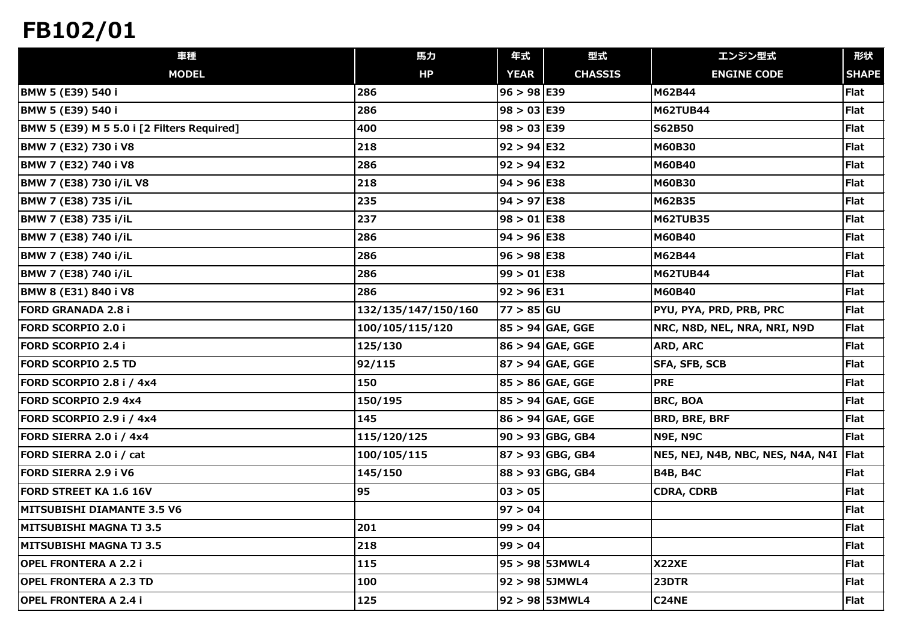| 車種                                         | 馬力                  | 年式            | 型式                 | エンジン型式                                   | 形状           |
|--------------------------------------------|---------------------|---------------|--------------------|------------------------------------------|--------------|
| <b>MODEL</b>                               | HP                  | <b>YEAR</b>   | <b>CHASSIS</b>     | <b>ENGINE CODE</b>                       | <b>SHAPE</b> |
| BMW 5 (E39) 540 i                          | 286                 | $96 > 98$ E39 |                    | M62B44                                   | Flat         |
| BMW 5 (E39) 540 i                          | 286                 | $98 > 03$ E39 |                    | <b>M62TUB44</b>                          | <b>Flat</b>  |
| BMW 5 (E39) M 5 5.0 i [2 Filters Required] | 400                 | $98 > 03$ E39 |                    | <b>S62B50</b>                            | Flat         |
| BMW 7 (E32) 730 i V8                       | 218                 | $92 > 94$ E32 |                    | <b>M60B30</b>                            | Flat         |
| BMW 7 (E32) 740 i V8                       | 286                 | $92 > 94$ E32 |                    | M60B40                                   | Flat         |
| BMW 7 (E38) 730 i/iL V8                    | 218                 | $94 > 96$ E38 |                    | <b>M60B30</b>                            | Flat         |
| BMW 7 (E38) 735 i/iL                       | 235                 | $94 > 97$ E38 |                    | M62B35                                   | Flat         |
| BMW 7 (E38) 735 i/iL                       | 237                 | $98 > 01$ E38 |                    | <b>M62TUB35</b>                          | <b>Flat</b>  |
| BMW 7 (E38) 740 i/iL                       | 286                 | $94 > 96$ E38 |                    | M60B40                                   | Flat         |
| BMW 7 (E38) 740 i/iL                       | 286                 | $96 > 98$ E38 |                    | M62B44                                   | <b>Flat</b>  |
| BMW 7 (E38) 740 i/iL                       | 286                 | $99 > 01$ E38 |                    | <b>M62TUB44</b>                          | Flat         |
| BMW 8 (E31) 840 i V8                       | 286                 | $92 > 96$ E31 |                    | M60B40                                   | Flat         |
| <b>FORD GRANADA 2.8 i</b>                  | 132/135/147/150/160 | $77 > 85$ GU  |                    | PYU, PYA, PRD, PRB, PRC                  | Flat         |
| <b>FORD SCORPIO 2.0 i</b>                  | 100/105/115/120     |               | $85 > 94$ GAE, GGE | NRC, N8D, NEL, NRA, NRI, N9D             | Flat         |
| <b>FORD SCORPIO 2.4 i</b>                  | 125/130             |               | $86 > 94$ GAE, GGE | ARD, ARC                                 | Flat         |
| <b>FORD SCORPIO 2.5 TD</b>                 | 92/115              |               | $87 > 94$ GAE, GGE | SFA, SFB, SCB                            | <b>Flat</b>  |
| FORD SCORPIO 2.8 i / 4x4                   | 150                 |               | $85 > 86$ GAE, GGE | <b>PRE</b>                               | Flat         |
| <b>FORD SCORPIO 2.9 4x4</b>                | 150/195             |               | $85 > 94$ GAE, GGE | <b>BRC, BOA</b>                          | Flat         |
| FORD SCORPIO 2.9 i / 4x4                   | 145                 |               | $86 > 94$ GAE, GGE | <b>BRD, BRE, BRF</b>                     | Flat         |
| FORD SIERRA 2.0 i / 4x4                    | 115/120/125         |               | $90 > 93$ GBG, GB4 | <b>N9E, N9C</b>                          | Flat         |
| FORD SIERRA 2.0 i / cat                    | 100/105/115         |               | $87 > 93$ GBG, GB4 | NE5, NEJ, N4B, NBC, NES, N4A, N4I   Flat |              |
| FORD SIERRA 2.9 i V6                       | 145/150             |               | $88 > 93$ GBG, GB4 | <b>B4B, B4C</b>                          | <b>Flat</b>  |
| <b>FORD STREET KA 1.6 16V</b>              | 95                  | 03 > 05       |                    | <b>CDRA, CDRB</b>                        | Flat         |
| <b>MITSUBISHI DIAMANTE 3.5 V6</b>          |                     | 97 > 04       |                    |                                          | Flat         |
| MITSUBISHI MAGNA TJ 3.5                    | 201                 | 99 > 04       |                    |                                          | Flat         |
| <b>IMITSUBISHI MAGNA TJ 3.5</b>            | 218                 | 99 > 04       |                    |                                          | Flat         |
| OPEL FRONTERA A 2.2 i                      | 115                 |               | 95 > 98 53MWL4     | <b>X22XE</b>                             | Flat         |
| <b>OPEL FRONTERA A 2.3 TD</b>              | 100                 |               | 92 > 98 5JMWL4     | 23DTR                                    | Flat         |
| <b>OPEL FRONTERA A 2.4 i</b>               | 125                 |               | 92 > 98 53MWL4     | <b>C24NE</b>                             | Flat         |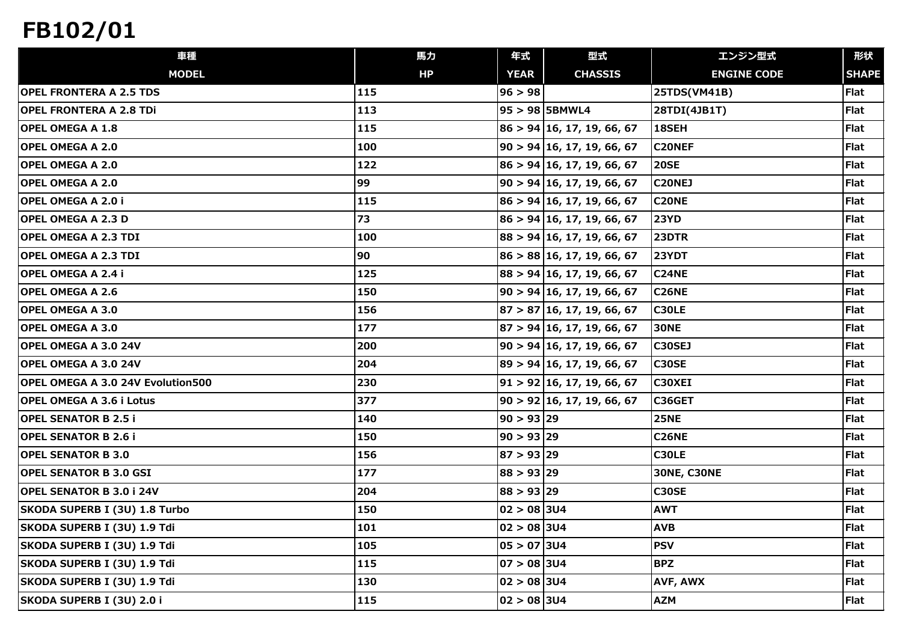| 車種                                       | 馬力  | 年式                   | 型式                                   | エンジン型式             | 形状           |
|------------------------------------------|-----|----------------------|--------------------------------------|--------------------|--------------|
| <b>MODEL</b>                             | HP  | <b>YEAR</b>          | <b>CHASSIS</b>                       | <b>ENGINE CODE</b> | <b>SHAPE</b> |
| <b>OPEL FRONTERA A 2.5 TDS</b>           | 115 | 96 > 98              |                                      | 25TDS(VM41B)       | <b>Flat</b>  |
| <b>OPEL FRONTERA A 2.8 TDi</b>           | 113 |                      | 95 > 98 5BMWL4                       | 28TDI(4JB1T)       | <b>Flat</b>  |
| <b>OPEL OMEGA A 1.8</b>                  | 115 |                      | $86 > 94 \vert 16, 17, 19, 66, 67$   | 18SEH              | <b>Flat</b>  |
| <b>OPEL OMEGA A 2.0</b>                  | 100 |                      | $90 > 94 \vert 16, 17, 19, 66, 67$   | <b>C20NEF</b>      | <b>Flat</b>  |
| <b>OPEL OMEGA A 2.0</b>                  | 122 |                      | $86 > 94 \vert 16, 17, 19, 66, 67$   | <b>20SE</b>        | <b>Flat</b>  |
| <b>OPEL OMEGA A 2.0</b>                  | 99  |                      | $ 90 \rangle 94  16, 17, 19, 66, 67$ | <b>C20NEJ</b>      | <b>Flat</b>  |
| <b>OPEL OMEGA A 2.0 i</b>                | 115 |                      | 86 > 94 16, 17, 19, 66, 67           | <b>C20NE</b>       | <b>Flat</b>  |
| <b>OPEL OMEGA A 2.3 D</b>                | 73  |                      | $86 > 94 \vert 16, 17, 19, 66, 67$   | <b>23YD</b>        | <b>Flat</b>  |
| <b>OPEL OMEGA A 2.3 TDI</b>              | 100 |                      | $88 > 94 \vert 16, 17, 19, 66, 67$   | 23DTR              | <b>Flat</b>  |
| <b>OPEL OMEGA A 2.3 TDI</b>              | 90  |                      | $86 > 88 \mid 16, 17, 19, 66, 67$    | <b>23YDT</b>       | <b>Flat</b>  |
| <b>OPEL OMEGA A 2.4 i</b>                | 125 |                      | $88 > 94 \vert 16, 17, 19, 66, 67$   | <b>C24NE</b>       | <b>Flat</b>  |
| <b>OPEL OMEGA A 2.6</b>                  | 150 |                      | $ 90 \rangle 94  16, 17, 19, 66, 67$ | <b>C26NE</b>       | <b>Flat</b>  |
| <b>OPEL OMEGA A 3.0</b>                  | 156 |                      | $ 87 \rangle 87  16, 17, 19, 66, 67$ | C30LE              | <b>Flat</b>  |
| <b>OPEL OMEGA A 3.0</b>                  | 177 |                      | $ 87 \rangle 94  16, 17, 19, 66, 67$ | <b>30NE</b>        | Flat         |
| <b>OPEL OMEGA A 3.0 24V</b>              | 200 |                      | $90 > 94 \vert 16, 17, 19, 66, 67$   | C30SEJ             | <b>Flat</b>  |
| <b>OPEL OMEGA A 3.0 24V</b>              | 204 |                      | 89 > 94 16, 17, 19, 66, 67           | <b>C30SE</b>       | <b>Flat</b>  |
| <b>OPEL OMEGA A 3.0 24V Evolution500</b> | 230 |                      | 91 > 92 16, 17, 19, 66, 67           | C30XEI             | <b>Flat</b>  |
| <b>OPEL OMEGA A 3.6 i Lotus</b>          | 377 |                      | 90 > 92 16, 17, 19, 66, 67           | C36GET             | <b>Flat</b>  |
| <b>OPEL SENATOR B 2.5 i</b>              | 140 | 90 > 93 29           |                                      | <b>25NE</b>        | <b>Flat</b>  |
| <b>OPEL SENATOR B 2.6 i</b>              | 150 | 90 > 93   29         |                                      | <b>C26NE</b>       | <b>Flat</b>  |
| <b>OPEL SENATOR B 3.0</b>                | 156 | 87 > 93 29           |                                      | C30LE              | <b>Flat</b>  |
| <b>OPEL SENATOR B 3.0 GSI</b>            | 177 | 88 > 93   29         |                                      | <b>30NE, C30NE</b> | <b>Flat</b>  |
| <b>OPEL SENATOR B 3.0 i 24V</b>          | 204 | 88 > 93 29           |                                      | <b>C30SE</b>       | <b>Flat</b>  |
| SKODA SUPERB I (3U) 1.8 Turbo            | 150 | 02 > 08 304          |                                      | <b>AWT</b>         | <b>Flat</b>  |
| SKODA SUPERB I (3U) 1.9 Tdi              | 101 | $02 > 08$ 3U4        |                                      | <b>AVB</b>         | <b>Flat</b>  |
| SKODA SUPERB I (3U) 1.9 Tdi              | 105 | 05 > 07 304          |                                      | <b>PSV</b>         | <b>Flat</b>  |
| SKODA SUPERB I (3U) 1.9 Tdi              | 115 | $ 07 \rangle 08 304$ |                                      | <b>BPZ</b>         | <b>Flat</b>  |
| SKODA SUPERB I (3U) 1.9 Tdi              | 130 | 02 > 08 304          |                                      | AVF, AWX           | <b>Flat</b>  |
| SKODA SUPERB I (3U) 2.0 i                | 115 | 02 > 08 304          |                                      | <b>AZM</b>         | Flat         |
|                                          |     |                      |                                      |                    |              |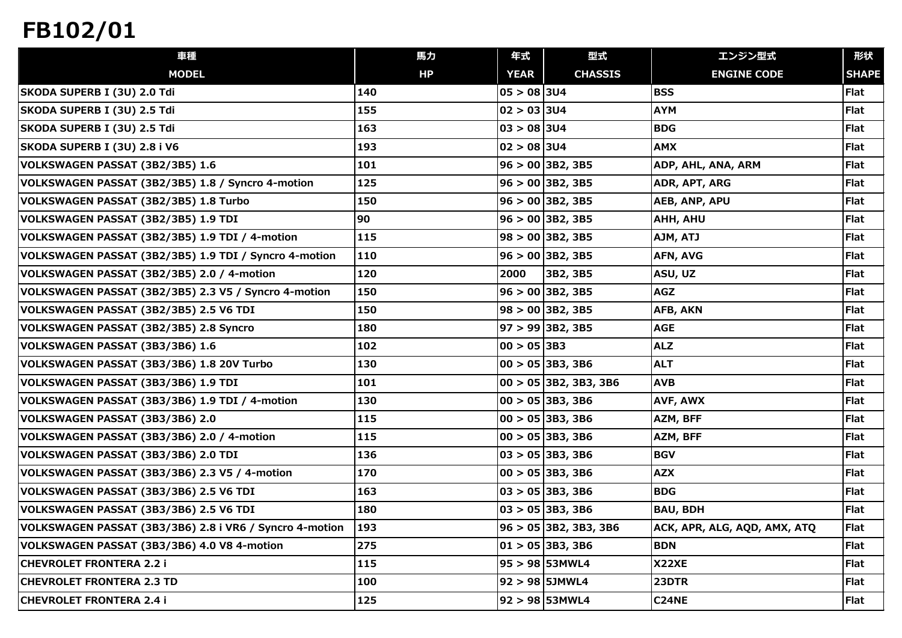| 車種                                                      | 馬力  | 年式              | 型式                       | エンジン型式                       | 形状           |
|---------------------------------------------------------|-----|-----------------|--------------------------|------------------------------|--------------|
| <b>MODEL</b>                                            | HP  | <b>YEAR</b>     | <b>CHASSIS</b>           | <b>ENGINE CODE</b>           | <b>SHAPE</b> |
| SKODA SUPERB I (3U) 2.0 Tdi                             | 140 | $05 > 08$ 3U4   |                          | <b>BSS</b>                   | Flat         |
| SKODA SUPERB I (3U) 2.5 Tdi                             | 155 | 02  > 03 304    |                          | <b>AYM</b>                   | <b>Flat</b>  |
| SKODA SUPERB I (3U) 2.5 Tdi                             | 163 | 03  > 08 304    |                          | <b>BDG</b>                   | Flat         |
| SKODA SUPERB I (3U) 2.8 i V6                            | 193 | $ 02  > 08$ 3U4 |                          | <b>AMX</b>                   | <b>Flat</b>  |
| VOLKSWAGEN PASSAT (3B2/3B5) 1.6                         | 101 |                 | $96 > 00$ 3B2, 3B5       | ADP, AHL, ANA, ARM           | Flat         |
| VOLKSWAGEN PASSAT (3B2/3B5) 1.8 / Syncro 4-motion       | 125 |                 | $96 > 00$ 3B2, 3B5       | ADR, APT, ARG                | Flat         |
| VOLKSWAGEN PASSAT (3B2/3B5) 1.8 Turbo                   | 150 |                 | $96 > 00$ 3B2, 3B5       | AEB, ANP, APU                | Flat         |
| VOLKSWAGEN PASSAT (3B2/3B5) 1.9 TDI                     | 90  |                 | $96 > 00$ 3B2, 3B5       | AHH, AHU                     | Flat         |
| VOLKSWAGEN PASSAT (3B2/3B5) 1.9 TDI / 4-motion          | 115 |                 | $98 > 00$ 3B2, 3B5       | AJM, ATJ                     | Flat         |
| VOLKSWAGEN PASSAT (3B2/3B5) 1.9 TDI / Syncro 4-motion   | 110 |                 | $96 > 00$ 3B2, 3B5       | AFN, AVG                     | <b>Flat</b>  |
| VOLKSWAGEN PASSAT (3B2/3B5) 2.0 / 4-motion              | 120 | 2000            | 3B2, 3B5                 | ASU, UZ                      | Flat         |
| VOLKSWAGEN PASSAT (3B2/3B5) 2.3 V5 / Syncro 4-motion    | 150 |                 | $96 > 00$ 3B2, 3B5       | <b>AGZ</b>                   | <b>Flat</b>  |
| VOLKSWAGEN PASSAT (3B2/3B5) 2.5 V6 TDI                  | 150 |                 | $98 > 00$ 3B2, 3B5       | AFB, AKN                     | <b>Flat</b>  |
| VOLKSWAGEN PASSAT (3B2/3B5) 2.8 Syncro                  | 180 |                 | $97 > 99$ 3B2, 3B5       | <b>AGE</b>                   | Flat         |
| VOLKSWAGEN PASSAT (3B3/3B6) 1.6                         | 102 | $00 > 05$ 3B3   |                          | <b>ALZ</b>                   | <b>Flat</b>  |
| VOLKSWAGEN PASSAT (3B3/3B6) 1.8 20V Turbo               | 130 |                 | $00 > 05$ 3B3, 3B6       | <b>ALT</b>                   | <b>Flat</b>  |
| VOLKSWAGEN PASSAT (3B3/3B6) 1.9 TDI                     | 101 |                 | $00 > 05$ 3B2, 3B3, 3B6  | <b>AVB</b>                   | Flat         |
| VOLKSWAGEN PASSAT (3B3/3B6) 1.9 TDI / 4-motion          | 130 |                 | $00 > 05$ 3B3, 3B6       | AVF, AWX                     | <b>Flat</b>  |
| VOLKSWAGEN PASSAT (3B3/3B6) 2.0                         | 115 |                 | $ 00 \rangle 05 3B3,3B6$ | AZM, BFF                     | <b>Flat</b>  |
| VOLKSWAGEN PASSAT (3B3/3B6) 2.0 / 4-motion              | 115 |                 | $00 > 05$ 3B3, 3B6       | AZM, BFF                     | Flat         |
| VOLKSWAGEN PASSAT (3B3/3B6) 2.0 TDI                     | 136 |                 | $ 03 \rangle 05 3B3,3B6$ | <b>BGV</b>                   | <b>Flat</b>  |
| VOLKSWAGEN PASSAT (3B3/3B6) 2.3 V5 / 4-motion           | 170 |                 | $ 00 \rangle 05 3B3,3B6$ | <b>AZX</b>                   | Flat         |
| VOLKSWAGEN PASSAT (3B3/3B6) 2.5 V6 TDI                  | 163 |                 | $ 03 \rangle 05 3B3,3B6$ | <b>BDG</b>                   | <b>Flat</b>  |
| VOLKSWAGEN PASSAT (3B3/3B6) 2.5 V6 TDI                  | 180 |                 | $03 > 05$ 3B3, 3B6       | <b>BAU, BDH</b>              | Flat         |
| VOLKSWAGEN PASSAT (3B3/3B6) 2.8 i VR6 / Syncro 4-motion | 193 |                 | $96 > 05$ 3B2, 3B3, 3B6  | ACK, APR, ALG, AQD, AMX, ATQ | Flat         |
| VOLKSWAGEN PASSAT (3B3/3B6) 4.0 V8 4-motion             | 275 |                 | $01 > 05$ 3B3, 3B6       | <b>BDN</b>                   | <b>Flat</b>  |
| <b>CHEVROLET FRONTERA 2.2 i</b>                         | 115 |                 | 95 > 98 53MWL4           | X22XE                        | Flat         |
| <b>CHEVROLET FRONTERA 2.3 TD</b>                        | 100 |                 | 92 > 98 5JMWL4           | 23DTR                        | Flat         |
| <b>CHEVROLET FRONTERA 2.4 i</b>                         | 125 |                 | $92 > 98$ 53MWL4         | <b>C24NE</b>                 | Flat         |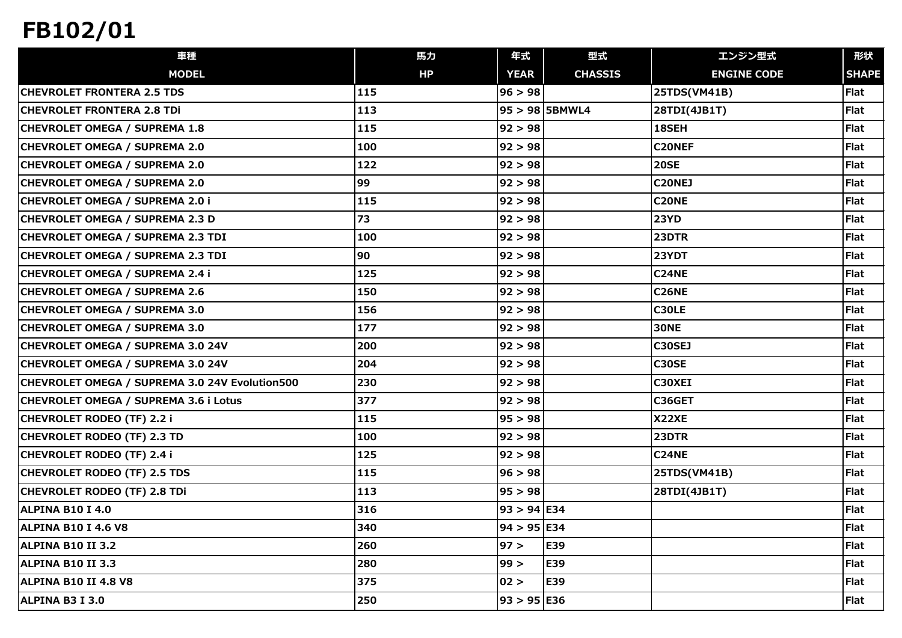| 車種                                             | 馬力  | 年式            | 型式               | エンジン型式             | 形状           |
|------------------------------------------------|-----|---------------|------------------|--------------------|--------------|
| <b>MODEL</b>                                   | HP  | <b>YEAR</b>   | <b>CHASSIS</b>   | <b>ENGINE CODE</b> | <b>SHAPE</b> |
| <b>CHEVROLET FRONTERA 2.5 TDS</b>              | 115 | 96 > 98       |                  | 25TDS(VM41B)       | Flat         |
| <b>CHEVROLET FRONTERA 2.8 TDi</b>              | 113 |               | $95 > 98$ 5BMWL4 | 28TDI(4JB1T)       | Flat         |
| CHEVROLET OMEGA / SUPREMA 1.8                  | 115 | 92 > 98       |                  | 18SEH              | Flat         |
| CHEVROLET OMEGA / SUPREMA 2.0                  | 100 | 92 > 98       |                  | <b>C20NEF</b>      | Flat         |
| CHEVROLET OMEGA / SUPREMA 2.0                  | 122 | 92 > 98       |                  | <b>20SE</b>        | Flat         |
| CHEVROLET OMEGA / SUPREMA 2.0                  | 99  | 92 > 98       |                  | <b>C20NEJ</b>      | Flat         |
| CHEVROLET OMEGA / SUPREMA 2.0 i                | 115 | 92 > 98       |                  | C20NE              | Flat         |
| CHEVROLET OMEGA / SUPREMA 2.3 D                | 73  | 92 > 98       |                  | <b>23YD</b>        | Flat         |
| CHEVROLET OMEGA / SUPREMA 2.3 TDI              | 100 | 92 > 98       |                  | 23DTR              | Flat         |
| CHEVROLET OMEGA / SUPREMA 2.3 TDI              | 90  | 92 > 98       |                  | 23YDT              | Flat         |
| CHEVROLET OMEGA / SUPREMA 2.4 i                | 125 | 92 > 98       |                  | <b>C24NE</b>       | Flat         |
| CHEVROLET OMEGA / SUPREMA 2.6                  | 150 | 92 > 98       |                  | <b>C26NE</b>       | Flat         |
| CHEVROLET OMEGA / SUPREMA 3.0                  | 156 | 92 > 98       |                  | <b>C30LE</b>       | Flat         |
| CHEVROLET OMEGA / SUPREMA 3.0                  | 177 | 92 > 98       |                  | <b>30NE</b>        | Flat         |
| CHEVROLET OMEGA / SUPREMA 3.0 24V              | 200 | 92 > 98       |                  | <b>C30SEJ</b>      | Flat         |
| CHEVROLET OMEGA / SUPREMA 3.0 24V              | 204 | 92 > 98       |                  | <b>C30SE</b>       | Flat         |
| CHEVROLET OMEGA / SUPREMA 3.0 24V Evolution500 | 230 | 92 > 98       |                  | C30XEI             | Flat         |
| CHEVROLET OMEGA / SUPREMA 3.6 i Lotus          | 377 | 92 > 98       |                  | C36GET             | Flat         |
| CHEVROLET RODEO (TF) 2.2 i                     | 115 | 95 > 98       |                  | X22XE              | <b>Flat</b>  |
| CHEVROLET RODEO (TF) 2.3 TD                    | 100 | 92 > 98       |                  | 23DTR              | Flat         |
| CHEVROLET RODEO (TF) 2.4 i                     | 125 | 92 > 98       |                  | <b>C24NE</b>       | Flat         |
| <b>CHEVROLET RODEO (TF) 2.5 TDS</b>            | 115 | 96 > 98       |                  | 25TDS(VM41B)       | Flat         |
| CHEVROLET RODEO (TF) 2.8 TDi                   | 113 | 95 > 98       |                  | 28TDI(4JB1T)       | Flat         |
| ALPINA B10 I 4.0                               | 316 | $93 > 94$ E34 |                  |                    | Flat         |
| <b>ALPINA B10 I 4.6 V8</b>                     | 340 | $94 > 95$ E34 |                  |                    | Flat         |
| <b>ALPINA B10 II 3.2</b>                       | 260 | 97 >          | E39              |                    | Flat         |
| <b>ALPINA B10 II 3.3</b>                       | 280 | 99 >          | E39              |                    | Flat         |
| ALPINA B10 II 4.8 V8                           | 375 | 02 >          | E39              |                    | Flat         |
| ALPINA B3 I 3.0                                | 250 | 93 > 95 E36   |                  |                    | Flat         |